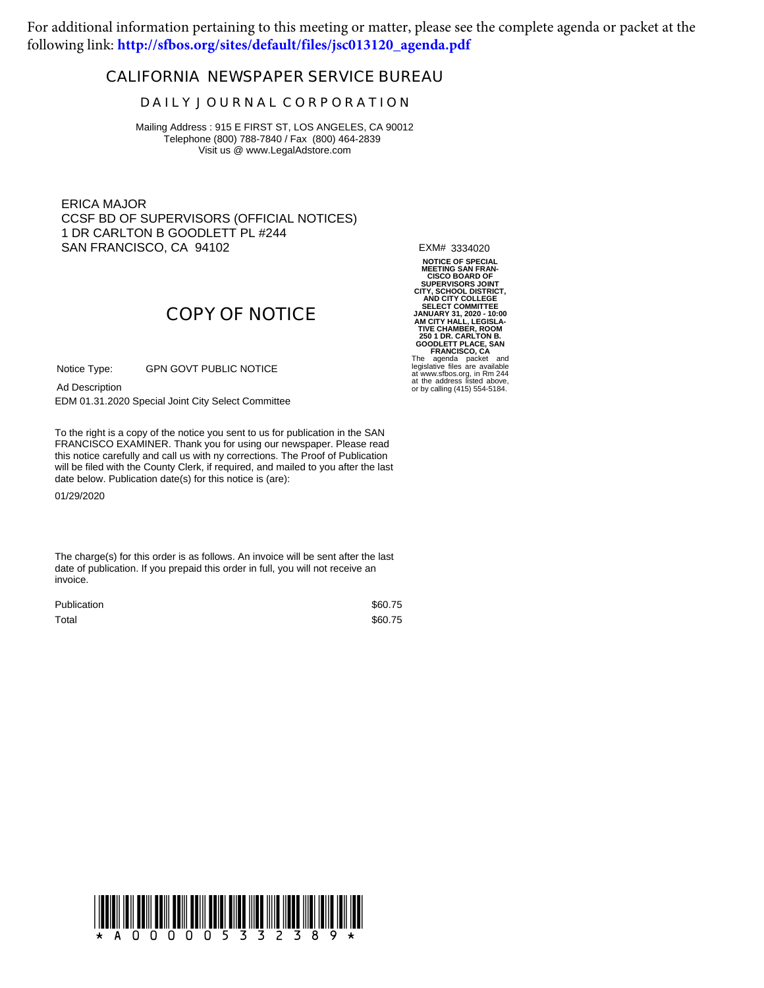For additional information pertaining to this meeting or matter, please see the complete agenda or packet at the following link: **[http://sfbos.org/sites/default/files/jsc013120\\_agenda.pdf](http://sfbos.org/sites/default/files/jsc013120_agenda.pdf)**

## **CALIFORNIA NEWSPAPER SERVICE BUREAU**

## **D A I L Y J O U R N A L C O R P O R A T I O N**

Mailing Address : 915 E FIRST ST, LOS ANGELES, CA 90012 Telephone (800) 788-7840 / Fax (800) 464-2839 Visit us @ www.LegalAdstore.com

ERICA MAJOR CCSF BD OF SUPERVISORS (OFFICIAL NOTICES) 1 DR CARLTON B GOODLETT PL #244 SAN FRANCISCO, CA 94102

EXM# 3334020

**COPY OF NOTICE**

GPN GOVT PUBLIC NOTICE Notice Type:

Ad Description

EDM 01.31.2020 Special Joint City Select Committee

FRANCISCO EXAMINER. Thank you for using our newspaper. Please read<br>this notice carefully and call us with ny corrections. The Proof of Publication To the right is a copy of the notice you sent to us for publication in the SAN FRANCISCO EXAMINER. Thank you for using our newspaper. Please read will be filed with the County Clerk, if required, and mailed to you after the last date below. Publication date(s) for this notice is (are):

01/29/2020

The charge(s) for this order is as follows. An invoice will be sent after the last date of publication. If you prepaid this order in full, you will not receive an invoice.

| Publication | \$60.75 |
|-------------|---------|
| Total       | \$60.75 |

NOTICE OF SPECIAL<br>MEETING SAREN<br>CISCO BOARD OF<br>CITY, SCHOOL DISTRICT,<br>AND CITY COLLEGE<br>AND CITY COLLEGE<br>AND CITY COLLEGE<br>JANUARY 31, 2020 - 10:00<br>AM CITY HALL, LEGISLA-<br>JANUARY 31, 2020 - 10:00<br>COLLET PLACE, SAN<br>COLLET PLA